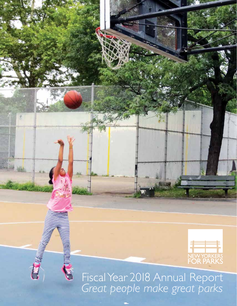

Fiscal Year 2018 Annual Report *Great people make great parks*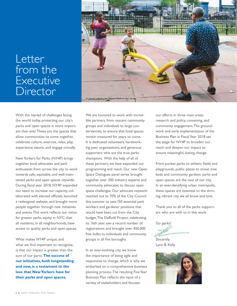## Letter from the Executive Director



New Yorkers for Parks (NY4P) brings together local advocates and park enthusiasts from across the city to work towards safe, equitable, and well-maintained parks and open spaces citywide. During fiscal year 2018, NY4P expanded our team to increase our capacity, collaborated with elected officials, launched a redesigned website, and brought more people together through new initiatives and events. This work reflects our vision for greater parks equity in NYC: that all residents, in all neighborhoods, have access to quality parks and open spaces.

What makes NY4P unique, and what we find important to recognize, is that our impact is greater than the sum of our parts. **The success of our initiatives, both longstanding and new, is a testament to the love that New Yorkers have for their parks and open spaces.** 



We are honored to work with incredible partners, from nascent community groups and individuals to large conservancies, to ensure that local spaces remain treasured for years to come. It is dedicated volunteers, hardworking peer organizations, and generous supporters who are the true parks champions. With the help of all of these partners, we have expanded our programming and reach. Our new Open Space Dialogues panel series brought together over 300 industry experts and community advocates to discuss open space challenges. Our advocate network reached out to 70% of the City Council this summer to save 150 essential park workers and gardener positions that would have been cut from the City budget. The Daffodil Project, celebrating its 16th year, saw a record number of registrations and brought over 450,000 free bulbs to individuals and community groups in all five boroughs.

In an ever-evolving city, we know the importance of being agile and responsive to change, which is why we embarked on a comprehensive business planning process. The resulting Five Year Business Plan reflects the input of a variety of stakeholders and focuses

our efforts in three main areas: research and policy, convening, and community engagement. The groundwork and early implementation of the Business Plan in Fiscal Year 2018 set the stage for NY4P to broaden our reach and deepen our impact to ensure meaningful, lasting change.

From pocket parks to athletic fields and playgrounds, public plazas to street tree beds and community gardens: parks and open spaces are the soul of our city. In an ever-densifying urban metropolis, these spaces are essential to the thriving, vibrant city we all know and love.

Thank you to all of the parks supporters who are with us in this work.

Go parks!

Sincerely, Lynn B. Kelly

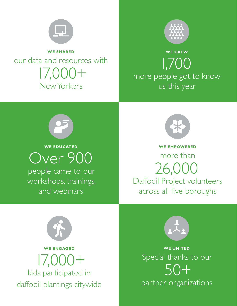

**WE SHARED**

our data and resources with 17,000+ New Yorkers



**WE GREW** 1,700 more people got to know us this year



**WE EDUCATED**

Over 900 people came to our workshops, trainings, and webinars



**WE EMPOWERED** more than 26,000 Daffodil Project volunteers across all five boroughs





partner organizations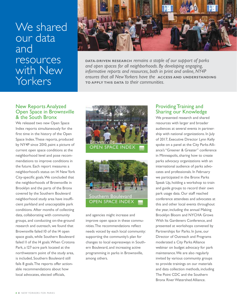## We shared our data and resources with New Yorkers



**DATA-DRIVEN RESEARCH** *remains a staple of our support of parks and open spaces for all neighborhoods. By developing engaging, informative reports and resources, both in print and online, NY4P ensures that all New Yorkers have the* **ACCESS AND UNDERSTANDING TO APPLY THIS DATA** *to their communities.*

### New Reports Analyzed Open Space in Brownsville & the South Bronx

We released two new Open Space Index reports simultaneously for the first time in the history of the Open Space Index. These reports, produced by NY4P since 2010, paint a picture of current open space conditions at the neighborhood level and pose recommendations to improve conditions in the future. Each report measures a neighborhood's status on 14 New York City-specific goals. We concluded that the neighborhoods of Brownsville in Brooklyn and the parts of the Bronx covered by the Southern Boulevard neighborhood study area have insufficient parkland and unacceptable park conditions. After months of collecting data, collaborating with community groups, and conducting on-the-ground research and outreach, we found that Brownsville failed 10 of the 14 open space goals, while Southern Boulevard failed II of the I4 goals. When Crotona Park, a 127-acre park located at the northwestern point of the study area, is included, Southern Boulevard still fails 8 goals. The reports offer actionable recommendations about how local advocates, elected officials,





and agencies might increase and improve open space in these communities. The recommendations reflect needs voiced by each local community: supporting the community's plan for changes to local expressways in Southern Boulevard, and increasing active programming in parks in Brownsville, among others.

## Providing Training and Sharing our Knowledge

We presented research and shared resources with larger and broader audiences at several events in partnership with national organizations. In July of 2017, Executive Director Lynn Kelly spoke on a panel at the City Parks Alliance's "Greener & Greater" conference in Minneapolis, sharing how to create parks advocacy organizations with an international audience of parks advocates and professionals. In February we participated in the Bronx Parks Speak Up, holding a workshop to train and guide groups to record their own park usage data. Our staff reached conference attendees and advocates at this and other local events throughout the year, including the annual Making Brooklyn Bloom and NYCHA Grows With Its Gardeners Conference, and presented at workshops convened by Partnerships for Parks. In June, our Director of Outreach and Programs moderated a City Parks Alliance webinar on budget advocacy for park maintenance. We are also regularly invited by various community groups to provide trainings on our materials and data collection methods, including The Point CDC and the Southern Bronx River Watershed Alliance.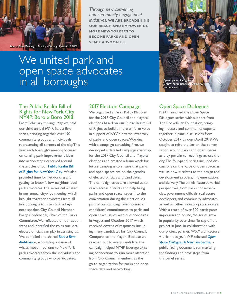

*Through new convening and community engagement initiatives,* **WE ARE BROADENING OUR REACH AND EMPOWERING MORE NEW YORKERS TO BECOME PARKS AND OPEN SPACE ADVOCATES.**

We united park and open space advocates in all boroughs



### The Public Realm Bill of Rights for New York City NY4P: Boro x Boro 2018

From February through May, we held our third annual *NY4P: Boro x Boro*  series, bringing together over 190 community groups and individuals representing all corners of the city. This year, each borough's meeting focused on turning park improvement ideas into action steps, centered around the articles of our Public Realm Bill [of Rights for New York City. We also](http://www.ny4p.org/general/public-realm-bill-of-rights-for-new-york-city)  provided time for networking and getting to know fellow neighborhood park advocates. The series culminated in our annual citywide meeting, which brought together advocates from all five boroughs to listen to the keynote speaker, City Council Member Barry Grodenchik, Chair of the Parks Committee. We reflected on our action steps and identified the roles our local elected officials can play in assisting us. [We compiled and shared](http://www.ny4p.org/client-uploads/pdf/Boro-x-Boro-AT-A-GLANCE-2018.pdf) *Boro x Boro At-A-Glance*, articulating a vision of what's most important to New York park advocates from the individuals and community groups who participated.

## 2017 Election Campaign

We organized a Parks Policy Platform for the 2017 City Council and Mayoral elections based on our Public Realm Bill of Rights to build a more uniform voice in support of NYC's diverse inventory of parks and open spaces. Working with a campaign consulting firm, we developed a detailed campaign roadmap for the 2017 City Council and Mayoral elections and created a framework for future campaigns to ensure that parks and open spaces are on the agendas of elected officials and candidates. The campaign structure allowed us to reach across districts and help bring parks and open space issues into the conversation during the election. As part of our campaign, we inquired of candidates' commitments to parks and open space issues with questionnaires in August and October 2017 which received dozens of responses, including many candidates for City Council, Comptroller, and Mayor. Because we reached out to every candidate, the campaign helped NY4P leverage existing connections to gain more attention from City Council members as the go-to-organization for parks and open space data and networking.

## Open Space Dialogues

NY4P launched the Open Space Dialogues series with support from The Rockefeller Foundation, bringing industry and community experts together in panel discussions from October 2017 through April 2018. We sought to raise the bar on the conversation around parks and open spaces as they pertain to rezonings across the city. The four-panel series included discussions on the value of open space, as well as how it relates to the design and development process, implementation, and delivery. The panels featured varied perspectives, from parks conservancies, government officials, real estate developers, and community advocates, as well as other industry professionals. With a reach of over 300 participants in-person and online, the series grew in popularity over time. To cap off the project in June, in collaboration with our project partner, WXY architecture + urban design, NY4P released *Open [Space Dialogues: A New Perspective,](http://www.ny4p.org/client-uploads/pdf/Other-reports/NY4P_OSD-Report-2018.pdf)* a public-facing document summarizing the findings and next steps from this panel series.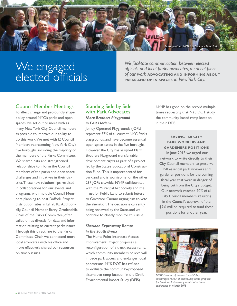

# We engaged elected officials

*We facilitate communication between elected officials and local parks advocates, a critical piece of our work* **ADVOCATING AND INFORMING ABOUT PARKS AND OPEN SPACES** *in New York City.*

## Council Member Meetings

To affect change and profoundly shape policy around NYC's parks and open spaces, we set out to meet with as many New York City Council members as possible to improve our ability to do this work. We met with 12 Council Members representing New York City's five boroughs, including the majority of the members of the Parks Committee. We shared data and strengthened relationships to inform the Council members of the parks and open space challenges and initiatives in their district. These new relationships resulted in collaborations for our events and programs, with multiple Council Members planning to host Daffodil Project distribution sites in fall 2018. Additionally, Council Member Barry Grodenchik, Chair of the Parks Committee, often called on us directly for data and information relating to current parks issues. Through this direct line to the Parks Committee Chair we connected more local advocates with his office and more effectively shared our resources on timely issues.

#### Standing Side by Side with Park Advocates *Marx Brothers Playground in East Harlem*

Jointly Operated Playgrounds (JOPs) represent 37% of all current NYC Parks playgrounds, and have become essential open space assets in the five boroughs. However, the City has assigned Marx Brothers Playground transferrable development rights as part of a project led by the State's Educational Construction Fund. This is unprecedented for parkland and is worrisome for the other 267 JOPs citywide. NY4P collaborated with the Municipal Art Society and the Trust for Public Land to submit letters to Governor Cuomo urging him to veto the alienation. The decision is currently being reviewed by the State, and we continue to closely monitor this issue.

#### *Sheridan Expressway Ramps in the South Bronx*

The Hunts Point Interstate Access Improvement Project proposes a reconfiguration of a truck access ramp, which community members believe will impede park access and endanger local pedestrians. NYS DOT has refused to evaluate the community-proposed alternative ramp location in the Draft Environmental Impact Study (DEIS).

NY4P has gone on the record multiple times requesting that NYS DOT study the community-based ramp location in their DEIS.

#### **SAVING 150 CITY PARK WORKERS AND GARDENERS POSITIONS**

 In June 2018 we urged our network to write directly to their City Council members to preserve

150 essential park workers and gardener positions for the coming fiscal year that were in danger of being cut from the City's budget. Our network reached 70% of all City Council members, resulting in the Council's approval of the \$9.6 million required to fund these positions for another year.



*NY4P Director of Research and Policy encourages review of community ramp proposal for Sheridan Expressway ramps at a press conference in March 2018*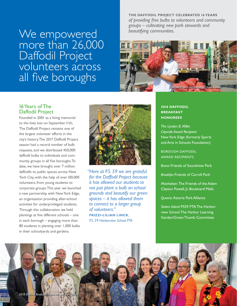We empowered more than 26,000 Daffodil Project volunteers across all five boroughs

**THE DAFFODIL PROJECT CELEBRATED 16 YEARS** *of providing free bulbs to volunteers and community groups – cultivating new park stewards and beautifying communities.*



### 16 Years of The Daffodil Project

Founded in 2001 as a living memorial to the lives lost on September 11th, The Daffodil Project remains one of the largest volunteer efforts in the city's history. The 2017 Daffodil Project season had a record number of bulb requests, and we distributed 450,000 daffodil bulbs to individuals and community groups in all five boroughs. To date, we have brought over 7 million daffodils to public spaces across New York City, with the help of over 100,000 volunteers, from young students to corporate groups. This year we launched a new partnership with New York Edge, an organization providing after-school activities for underprivileged students. Through this collaboration we held plantings at five different schools – one in each borough – engaging more than 80 students in planting over 1,000 bulbs in their schoolyards and gardens.



 *"Here at P.S. 59 we are grateful for the Daffodil Project because it has allowed our students to not just plant a bulb on school grounds and beautify our green spaces – it has allowed them to connect to a larger group of volunteers."* **FRIZZI-LILIAN LINCK**, *P.S. 59 Harborview School PTA*

#### **2018 DAFFODIL BREAKFAST HONOREES**

*The Lynden B. Miller Citywide Award Recipient* New York Edge (formerly Sports and Arts in Schools Foundation)

BOROUGH DAFFODIL AWARD RECIPIENTS

*Bronx*: Friends of Soundview Park

*Brooklyn:* Friends of Carroll Park

*Manhattan:* The Friends of the Adam Clayton Powell, Jr. Boulevard Malls

*Queens:* Astoria Park Alliance

*Staten Island:* PS59 PTA The Harborview School: The Harbor Learning Garden/Green Thumb Committee

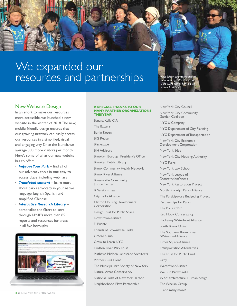



### New Website Design

In an effort to make our resources more accessible, we launched a new website in the winter of 2018. The new, mobile-friendly design ensures that our growing network can easily access our resources in a simplified, visual and engaging way. Since the launch, we average 300 more visitors per month. Here's some of what our new website has to offer:

- *Improve Your Park* find all of [our advocacy tools in one easy to](http://www.ny4p.org/improve-your-park/improve-your-park-overview)  access place, including webinars
- *Translated content* learn more [about parks advocacy in your native](http://www.ny4p.org/improve-your-park/mejore-su-parque)  language: English, Spanish and simplified Chinese
- *Interactive Research Library* personalize the filters to sort through NY4P's more than 85 [reports and resources for areas](http://www.ny4p.org/data-and-research/research-library)  in all five boroughs



#### **A SPECIAL THANKS TO OUR MANY PARTNER ORGANIZATIONS THIS YEAR!**

Banana Kelly CIA The Battery Berlin Rosen BIG Reuse **Blackspace** BJH Advisors Brooklyn Borough President's Office Brooklyn Public Library Bronx Community Health Network Bronx River Alliance Brownsville Community Justice Center B. Sessions Law City Parks Alliance Clinton Housing Development Corporation Design Trust for Public Space Downtown Alliance El Puente Friends of Brownsville Parks **GreenThumb** Grow to Learn NYC Hudson River Park Trust Mathews Nielsen Landscape Architects Mothers Out Front The Municipal Art Society of New York Natural Areas Conservancy National Parks of New York Harbor Neighborhood Plaza Partnership

New York City Council New York City Community Garden Coalition

NYC & Company

NYC Department of City Planning

NYC Department of Transportation

New York City Economic Development Corporation

New York Edge

New York City Housing Authority

NYC Parks

New York Law School

New York League of Conservation Voters

New York Restoration Project

North Brooklyn Parks Alliance

The Participatory Budgeting Project

Partnerships for Parks

The Point CDC

Red Hook Conservancy

Rockaway Waterfront Alliance

South Bronx Unite

The Southern Bronx River Watershed Alliance

Times Square Alliance

Transportation Alternatives

The Trust for Public Land

Urby

Waterfront Alliance

We Run Brownsville

WXY architecture + urban design

The Whelan Group

…and many more!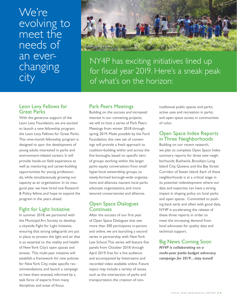## We're evolving to meet the needs of an everchanging city



NY4P has exciting initiatives lined up for fiscal year 2019. Here's a sneak peak of what's on the horizon:

## Leon Levy Fellows for Great Parks

With the generous support of the Leon Levy Foundation, we are excited to launch a new fellowship program: the Leon Levy Fellows for Great Parks. This nine-month fellowship program is designed to spur the development of young adults interested in parks and environment-related careers. It will provide hands-on field experience as well as mentoring and career-building opportunities for young professionals, while simultaneously growing our capacity as an organization. In its inaugural year we have hired one Research & Policy fellow, and hope to expand the program in the years ahead.

## Fight for Light Initiative

In summer 2018, we partnered with the Municipal Art Society to develop a citywide Fight for Light Initiative, ensuring that strong safeguards are put in place to protect the light and air that is so essential to the vitality and health of New York City's open spaces and streets. This multi-year initiative will establish a framework for new policies for New York City, make specific recommendations, and launch a campaign to have them enacted, informed by a task force of experts from many disciplines and areas of focus.

## Park Peers Meetings

Building on the success and increased interest in our convening projects, we will to host a series of Park Peers Meetings from winter 2018 through spring 2019. Made possible by the Ford Foundation, this new set of convenings will provide a fresh approach to coalition-building within and across the five boroughs, based on specific tiers of groups working within the larger parks equity conversation: from small hyper-local stewardship groups, to newly-formed borough-wide organizations and alliances, nascent local parks advocate organizations, and more tenured conservancies and alliances.

## Open Space Dialogues **Continues**

After the success of our first year of Open Space Dialogues that saw more than 300 participants in-person and online, we are launching a second series in partnership with New York Law School. This series will feature five panels from October 2018 through April 2019, free for a live audience and accompanied by livestreams and recorded video available online. Future topics may include a variety of issues, such as the intersection of parks and transportation; the creation of nontraditional public spaces and parks; active uses and recreation in parks; and open space access in communities of color.

### Open Space Index Reports in Three Neighborhoods

Building on our recent research, we plan to complete Open Space Index summary reports for three new neighborhoods: Bushwick, Brooklyn; Long Island City, Queens; and the Bay Street Corridor of Staten Island. Each of these neighborhoods is at a critical stage in its potential redevelopment where our data and expertise can have a strong impact in shaping policy on local parks and open spaces. Committed to pushing back early and often with good data, NY4P is accelerating the release of these three reports in order to meet the increasing demand from local advocates for quality data and technical support.

## Big News Coming Soon

*NY4P is collaborating on a multi-year parks budget advocacy campaign for 2019…stay tuned!*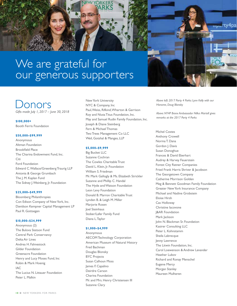

# **Jonors**

*Gifts made July 1, 2017 – June 30, 2018*

**\$100,000+** Booth Ferris Foundation

#### **\$50,000–\$99,999**

Anonymous Altman Foundation Brookfield Place The Charina Endowment Fund, Inc. Citi Ford Foundation Edward C. Wallace/Greenberg Traurig LLP Antonia & George Grumbach The J. M. Kaplan Fund The Sidney J. Weinberg, Jr. Foundation

#### **\$25,000–\$49,999**

Bloomberg Philanthropies Con Edison Company of New York, Inc. Davidson Kempner Capital Management LP Paul R. Gottsegen

#### **\$10,000–\$24,999**

Anonymous (2) The Bulova Stetson Fund Central Park Conservancy Delta Air Lines Andrea H. Fahnestock Gilder Foundation Greenacre Foundation Henry and Lucy Moses Fund, Inc Robin & Mark Hoenig IAC The Lucius N. Littauer Foundation Peter L. Malkin

New York University NYC & Company, Inc Paul, Weiss, Rifkind, Wharton & Garrison Roy and Niuta Titus Foundation, Inc. May and Samuel Rudin Family Foundation, Inc. Joseph & Diane Steinberg Fern & Michael Thomas Two Trees Management Co LLC Weil, Gotshal & Manges, LLP

#### **\$5,000–\$9,999**

Big Bucket LLC Suzanne Cochran The Cowles Charitable Trust David L. Klein, Jr. Foundation William S. Friedman Mr. Mark Gallogly & Ms. Elizabeth Strickler Suzanne and Phillip C. Handal The Hyde and Watson Foundation Leon Levy Foundation Donald B. Marron Charitable Trust Lynden B. & Leigh M. Miller Marjorie Rosen Joel Steinhaus Stober/Lafer Family Fund Diana L. Taylor

#### **\$1,000–\$4,999**

Anonymous AECOM Technology Corporation American Museum of Natural History Fred Bachman Douglas Blonsky BYC Projects Susan Calhoun Moss James F. Capalino Deirdre Carson Charina Foundation Mr. and Mrs. Henry Christensen III Suzanne Clary

*Above left: 2017 Party 4 Parks: Lynn Kelly with our Honoree, Doug Blonsky*

<del>npu</del>rty4pa

*Above: NY4P Bronx Ambassador Nilka Martell gives remarks at the 2017 Party 4 Parks*

Michel Costes

Anthony Crowell Norma T. Dana Gordon J. Davis Susan Donoghue Frances & David Eberhart Audrey & Harvey Feuerstein Forest City Ratner Companies Fried Frank Harris Shriver & Jacobson The Georgetown Company Catherine Morrison Golden Meg & Bennett Goodman Family Foundation Greater New York Insurance Company Michael and Nadine Grobstein Eloise Hirsh Cas Holloway Christine Iacovone J&AR Foundation Mark Jackson John N. Blackman Sr. Foundation Kasirer Consulting LLC Peter L. Kohnstamm Sheila Labrecque Jenny Lawrence The Litwin Foundation, Inc. Carol Loewenson & Andrew Levander Heather Lubov Richard and Ronay Menschel Eugene Mercy Morgan Stanley Maureen Mulheren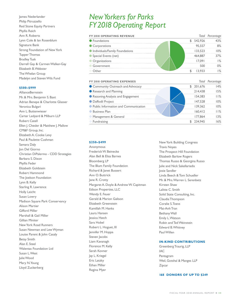James Nederlander Philip Pitruzzello Red Stone Equity Partners Phyllis Reich Ann R. Roberts Lynn Cole & Ian Rosenblum Signature Bank Strong Foundation of New York Tupper Thomas Bradley Tusk Darrell Gay & Carmen Walker-Gay Elizabeth B. Webster The Whelan Group Madelyn and Steven Wils Fund

#### **\$500–\$999**

AllianceBernstein Mr. & Mrs. Benjamin S. Baxt Adrian Benepe & Charlotte Glasser Veronica Bulgari Ann L. Buttenwieser Carter Ledyard & Milburn LLP Robert Catell Ellen J. Chesler & Matthew J. Mallow CM&F Group, Inc. Elizabeth A. Cooke Levy Paul & Paulette Cushman Samara Daly Jon Del Giorno Christian DiPalermo - CDD Strategies Barbara S. Dixon Phyllis Feder Elizabeth Goldstein Robert Hammond The Joelson Foundation Lynn B. Kelly Starling R. Lawrence Holly Leicht Susan Lowry Madison Square Park Conservancy Alison Martier Gifford Miller Marshall & Gail Miller Gillian Miniter New York Road Runners Susan Newman and Lew Wyman Louise Parent & John Casaly Betsy Smith Alan E. Steel Walentas Foundation Ltd Susan L. West Julie Wood Mary N. Young Lloyd Zuckerberg

## *New Yorkers for Parks FY 2018 Operating Report*

| <b>FY 2018 OPERATING REVENUE</b> |  | lotal Percentage |
|----------------------------------|--|------------------|
| • Foundations                    |  |                  |
| • Corporations                   |  |                  |
| • Individuals/Family Foundations |  |                  |
| Special Events (net)             |  |                  |
| eanizations?                     |  |                  |
| Government                       |  |                  |
|                                  |  |                  |

| <b>FY 2018 OPERATING EXPENSES</b>      |         | Total Percentage |
|----------------------------------------|---------|------------------|
| Community Outreach and Advocacy        | 201,676 |                  |
| Research and Planning                  | 214.438 |                  |
| Rezoning Analysis and Engagement       |         |                  |
| • Daffodil Project                     |         |                  |
| • Public Information and Communication | 139,362 |                  |
| <b>Business Plan</b>                   |         |                  |
| Management & General                   |         |                  |
|                                        |         |                  |

#### **\$250–\$499**

Anonymous Frederick W. Beinecke Alan Bell & Elisa Barnes Bloomberg LP The Blum Family Foundation Richard & Janet Bussert Ann O. Buttrick Jane R. Crotty Margaret A. Doyle & Andrew W. Capitman Edison Properties, LLC Wendy E. Feuer Gerald & Marion Galison Elizabeth Greenstein Kamillah M. Hanks Laura Hansen Jessica Hatch Sara Hobel Robert L. Hoguet, III Jennifer M. Hoppa Steven Jacobs Liam Kavanagh Florence M. Kelly Sarah Kovner Jay L. Kriegel Eric Latzky Ethan Miller Regina Myer

New York Building Congress Travis Noyes The Prospect Hill Foundation Elizabeth Barlow Rogers Thomas Russo & Georgina Russo Julie and Nick Sakellariadis Josie Sandler Linda Beech & Tom Schueller Mr. & Mrs. Warren L. Serenbetz Kirsten Shaw Lalitte C. Smith Solid State Consulting, Inc. Claudia Thompson Coralie S. Toevs Mai-Anh Tran Bethany Wall Emily L. Watson Robin and Ted Weinstein Edward B. Whitney Paul Willen

#### **IN-KIND CONTRIBUTIONS**

Greenberg Traurig, LLP IAC Pentagram Weil, Gotshal & Manges LLP Zipcar

#### **168 DONORS OF UP TO \$249**